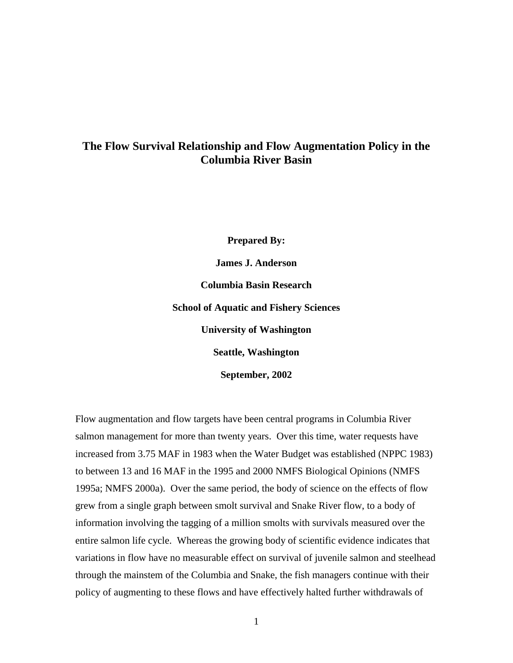# **The Flow Survival Relationship and Flow Augmentation Policy in the Columbia River Basin**

**Prepared By: James J. Anderson Columbia Basin Research School of Aquatic and Fishery Sciences University of Washington Seattle, Washington September, 2002** 

Flow augmentation and flow targets have been central programs in Columbia River salmon management for more than twenty years. Over this time, water requests have increased from 3.75 MAF in 1983 when the Water Budget was established (NPPC 1983) to between 13 and 16 MAF in the 1995 and 2000 NMFS Biological Opinions (NMFS 1995a; NMFS 2000a). Over the same period, the body of science on the effects of flow grew from a single graph between smolt survival and Snake River flow, to a body of information involving the tagging of a million smolts with survivals measured over the entire salmon life cycle. Whereas the growing body of scientific evidence indicates that variations in flow have no measurable effect on survival of juvenile salmon and steelhead through the mainstem of the Columbia and Snake, the fish managers continue with their policy of augmenting to these flows and have effectively halted further withdrawals of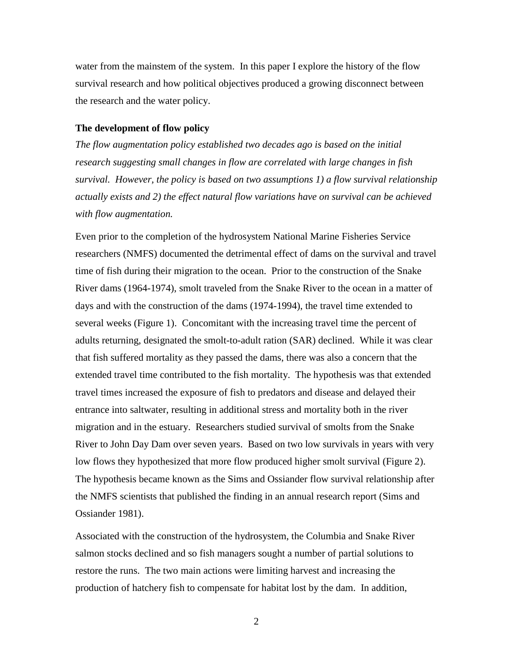water from the mainstem of the system. In this paper I explore the history of the flow survival research and how political objectives produced a growing disconnect between the research and the water policy.

#### **The development of flow policy**

*The flow augmentation policy established two decades ago is based on the initial research suggesting small changes in flow are correlated with large changes in fish survival. However, the policy is based on two assumptions 1) a flow survival relationship actually exists and 2) the effect natural flow variations have on survival can be achieved with flow augmentation.* 

Even prior to the completion of the hydrosystem National Marine Fisheries Service researchers (NMFS) documented the detrimental effect of dams on the survival and travel time of fish during their migration to the ocean. Prior to the construction of the Snake River dams (1964-1974), smolt traveled from the Snake River to the ocean in a matter of days and with the construction of the dams (1974-1994), the travel time extended to several weeks (Figure 1). Concomitant with the increasing travel time the percent of adults returning, designated the smolt-to-adult ration (SAR) declined. While it was clear that fish suffered mortality as they passed the dams, there was also a concern that the extended travel time contributed to the fish mortality. The hypothesis was that extended travel times increased the exposure of fish to predators and disease and delayed their entrance into saltwater, resulting in additional stress and mortality both in the river migration and in the estuary. Researchers studied survival of smolts from the Snake River to John Day Dam over seven years. Based on two low survivals in years with very low flows they hypothesized that more flow produced higher smolt survival (Figure 2). The hypothesis became known as the Sims and Ossiander flow survival relationship after the NMFS scientists that published the finding in an annual research report (Sims and Ossiander 1981).

Associated with the construction of the hydrosystem, the Columbia and Snake River salmon stocks declined and so fish managers sought a number of partial solutions to restore the runs. The two main actions were limiting harvest and increasing the production of hatchery fish to compensate for habitat lost by the dam. In addition,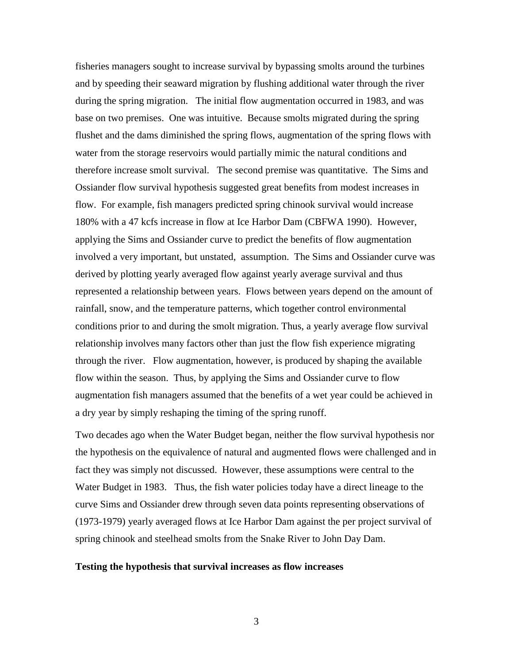fisheries managers sought to increase survival by bypassing smolts around the turbines and by speeding their seaward migration by flushing additional water through the river during the spring migration. The initial flow augmentation occurred in 1983, and was base on two premises. One was intuitive. Because smolts migrated during the spring flushet and the dams diminished the spring flows, augmentation of the spring flows with water from the storage reservoirs would partially mimic the natural conditions and therefore increase smolt survival. The second premise was quantitative. The Sims and Ossiander flow survival hypothesis suggested great benefits from modest increases in flow. For example, fish managers predicted spring chinook survival would increase 180% with a 47 kcfs increase in flow at Ice Harbor Dam (CBFWA 1990). However, applying the Sims and Ossiander curve to predict the benefits of flow augmentation involved a very important, but unstated, assumption. The Sims and Ossiander curve was derived by plotting yearly averaged flow against yearly average survival and thus represented a relationship between years. Flows between years depend on the amount of rainfall, snow, and the temperature patterns, which together control environmental conditions prior to and during the smolt migration. Thus, a yearly average flow survival relationship involves many factors other than just the flow fish experience migrating through the river. Flow augmentation, however, is produced by shaping the available flow within the season. Thus, by applying the Sims and Ossiander curve to flow augmentation fish managers assumed that the benefits of a wet year could be achieved in a dry year by simply reshaping the timing of the spring runoff.

Two decades ago when the Water Budget began, neither the flow survival hypothesis nor the hypothesis on the equivalence of natural and augmented flows were challenged and in fact they was simply not discussed. However, these assumptions were central to the Water Budget in 1983. Thus, the fish water policies today have a direct lineage to the curve Sims and Ossiander drew through seven data points representing observations of (1973-1979) yearly averaged flows at Ice Harbor Dam against the per project survival of spring chinook and steelhead smolts from the Snake River to John Day Dam.

#### **Testing the hypothesis that survival increases as flow increases**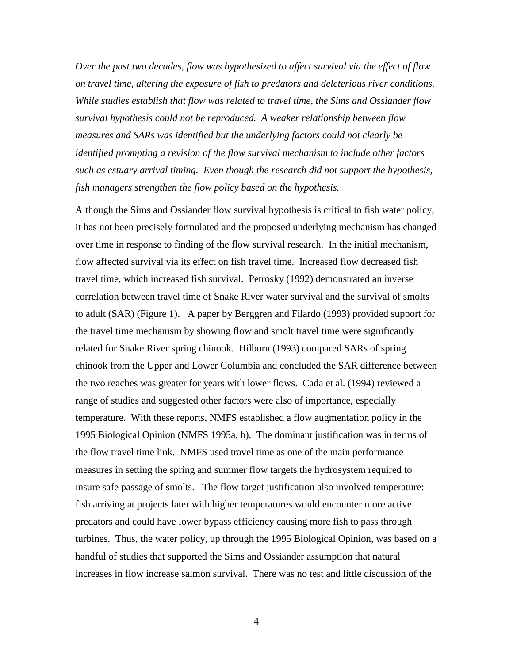*Over the past two decades, flow was hypothesized to affect survival via the effect of flow on travel time, altering the exposure of fish to predators and deleterious river conditions. While studies establish that flow was related to travel time, the Sims and Ossiander flow survival hypothesis could not be reproduced. A weaker relationship between flow measures and SARs was identified but the underlying factors could not clearly be identified prompting a revision of the flow survival mechanism to include other factors such as estuary arrival timing. Even though the research did not support the hypothesis, fish managers strengthen the flow policy based on the hypothesis.* 

Although the Sims and Ossiander flow survival hypothesis is critical to fish water policy, it has not been precisely formulated and the proposed underlying mechanism has changed over time in response to finding of the flow survival research. In the initial mechanism, flow affected survival via its effect on fish travel time. Increased flow decreased fish travel time, which increased fish survival. Petrosky (1992) demonstrated an inverse correlation between travel time of Snake River water survival and the survival of smolts to adult (SAR) (Figure 1). A paper by Berggren and Filardo (1993) provided support for the travel time mechanism by showing flow and smolt travel time were significantly related for Snake River spring chinook. Hilborn (1993) compared SARs of spring chinook from the Upper and Lower Columbia and concluded the SAR difference between the two reaches was greater for years with lower flows. Cada et al. (1994) reviewed a range of studies and suggested other factors were also of importance, especially temperature. With these reports, NMFS established a flow augmentation policy in the 1995 Biological Opinion (NMFS 1995a, b). The dominant justification was in terms of the flow travel time link. NMFS used travel time as one of the main performance measures in setting the spring and summer flow targets the hydrosystem required to insure safe passage of smolts. The flow target justification also involved temperature: fish arriving at projects later with higher temperatures would encounter more active predators and could have lower bypass efficiency causing more fish to pass through turbines. Thus, the water policy, up through the 1995 Biological Opinion, was based on a handful of studies that supported the Sims and Ossiander assumption that natural increases in flow increase salmon survival. There was no test and little discussion of the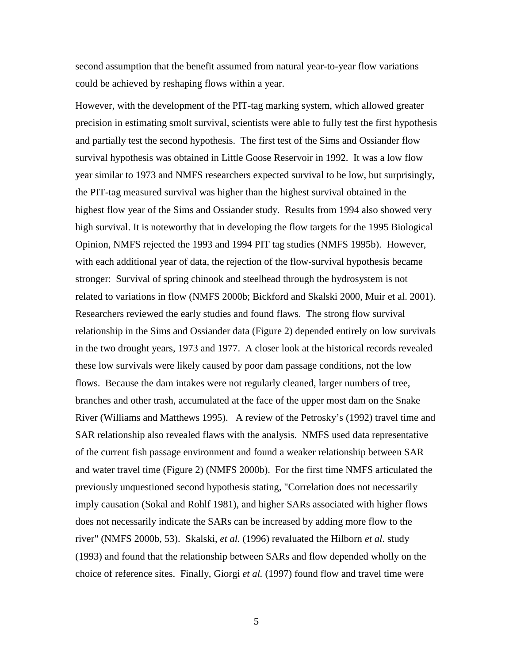second assumption that the benefit assumed from natural year-to-year flow variations could be achieved by reshaping flows within a year.

However, with the development of the PIT-tag marking system, which allowed greater precision in estimating smolt survival, scientists were able to fully test the first hypothesis and partially test the second hypothesis. The first test of the Sims and Ossiander flow survival hypothesis was obtained in Little Goose Reservoir in 1992. It was a low flow year similar to 1973 and NMFS researchers expected survival to be low, but surprisingly, the PIT-tag measured survival was higher than the highest survival obtained in the highest flow year of the Sims and Ossiander study. Results from 1994 also showed very high survival. It is noteworthy that in developing the flow targets for the 1995 Biological Opinion, NMFS rejected the 1993 and 1994 PIT tag studies (NMFS 1995b). However, with each additional year of data, the rejection of the flow-survival hypothesis became stronger: Survival of spring chinook and steelhead through the hydrosystem is not related to variations in flow (NMFS 2000b; Bickford and Skalski 2000, Muir et al. 2001). Researchers reviewed the early studies and found flaws. The strong flow survival relationship in the Sims and Ossiander data (Figure 2) depended entirely on low survivals in the two drought years, 1973 and 1977. A closer look at the historical records revealed these low survivals were likely caused by poor dam passage conditions, not the low flows. Because the dam intakes were not regularly cleaned, larger numbers of tree, branches and other trash, accumulated at the face of the upper most dam on the Snake River (Williams and Matthews 1995). A review of the Petrosky's (1992) travel time and SAR relationship also revealed flaws with the analysis. NMFS used data representative of the current fish passage environment and found a weaker relationship between SAR and water travel time (Figure 2) (NMFS 2000b). For the first time NMFS articulated the previously unquestioned second hypothesis stating, "Correlation does not necessarily imply causation (Sokal and Rohlf 1981), and higher SARs associated with higher flows does not necessarily indicate the SARs can be increased by adding more flow to the river" (NMFS 2000b, 53). Skalski, *et al.* (1996) revaluated the Hilborn *et al.* study (1993) and found that the relationship between SARs and flow depended wholly on the choice of reference sites. Finally, Giorgi *et al.* (1997) found flow and travel time were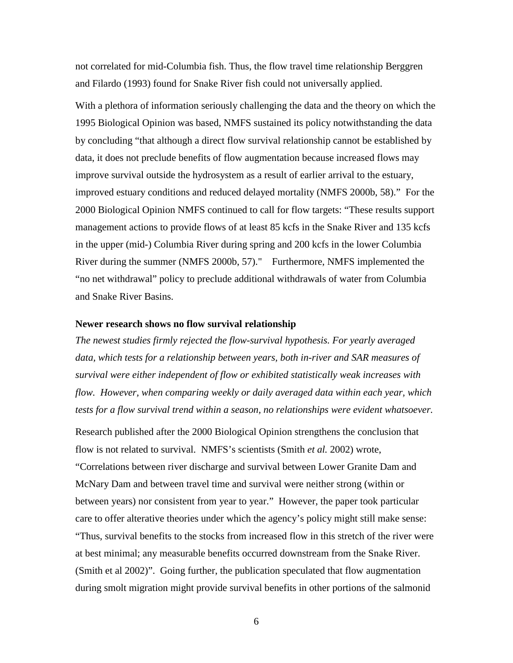not correlated for mid-Columbia fish. Thus, the flow travel time relationship Berggren and Filardo (1993) found for Snake River fish could not universally applied.

With a plethora of information seriously challenging the data and the theory on which the 1995 Biological Opinion was based, NMFS sustained its policy notwithstanding the data by concluding "that although a direct flow survival relationship cannot be established by data, it does not preclude benefits of flow augmentation because increased flows may improve survival outside the hydrosystem as a result of earlier arrival to the estuary, improved estuary conditions and reduced delayed mortality (NMFS 2000b, 58)." For the 2000 Biological Opinion NMFS continued to call for flow targets: "These results support management actions to provide flows of at least 85 kcfs in the Snake River and 135 kcfs in the upper (mid-) Columbia River during spring and 200 kcfs in the lower Columbia River during the summer (NMFS 2000b, 57)." Furthermore, NMFS implemented the "no net withdrawal" policy to preclude additional withdrawals of water from Columbia and Snake River Basins.

#### **Newer research shows no flow survival relationship**

*The newest studies firmly rejected the flow-survival hypothesis. For yearly averaged data, which tests for a relationship between years, both in-river and SAR measures of survival were either independent of flow or exhibited statistically weak increases with flow. However, when comparing weekly or daily averaged data within each year, which tests for a flow survival trend within a season, no relationships were evident whatsoever.* 

Research published after the 2000 Biological Opinion strengthens the conclusion that flow is not related to survival. NMFS's scientists (Smith *et al.* 2002) wrote, "Correlations between river discharge and survival between Lower Granite Dam and McNary Dam and between travel time and survival were neither strong (within or between years) nor consistent from year to year." However, the paper took particular care to offer alterative theories under which the agency's policy might still make sense: "Thus, survival benefits to the stocks from increased flow in this stretch of the river were at best minimal; any measurable benefits occurred downstream from the Snake River. (Smith et al 2002)". Going further, the publication speculated that flow augmentation during smolt migration might provide survival benefits in other portions of the salmonid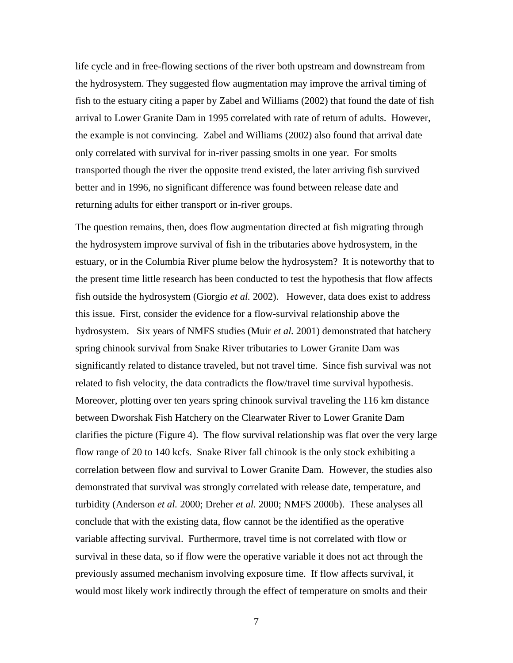life cycle and in free-flowing sections of the river both upstream and downstream from the hydrosystem. They suggested flow augmentation may improve the arrival timing of fish to the estuary citing a paper by Zabel and Williams (2002) that found the date of fish arrival to Lower Granite Dam in 1995 correlated with rate of return of adults. However, the example is not convincing. Zabel and Williams (2002) also found that arrival date only correlated with survival for in-river passing smolts in one year. For smolts transported though the river the opposite trend existed, the later arriving fish survived better and in 1996, no significant difference was found between release date and returning adults for either transport or in-river groups.

The question remains, then, does flow augmentation directed at fish migrating through the hydrosystem improve survival of fish in the tributaries above hydrosystem, in the estuary, or in the Columbia River plume below the hydrosystem? It is noteworthy that to the present time little research has been conducted to test the hypothesis that flow affects fish outside the hydrosystem (Giorgio *et al.* 2002). However, data does exist to address this issue. First, consider the evidence for a flow-survival relationship above the hydrosystem. Six years of NMFS studies (Muir *et al.* 2001) demonstrated that hatchery spring chinook survival from Snake River tributaries to Lower Granite Dam was significantly related to distance traveled, but not travel time. Since fish survival was not related to fish velocity, the data contradicts the flow/travel time survival hypothesis. Moreover, plotting over ten years spring chinook survival traveling the 116 km distance between Dworshak Fish Hatchery on the Clearwater River to Lower Granite Dam clarifies the picture (Figure 4). The flow survival relationship was flat over the very large flow range of 20 to 140 kcfs. Snake River fall chinook is the only stock exhibiting a correlation between flow and survival to Lower Granite Dam. However, the studies also demonstrated that survival was strongly correlated with release date, temperature, and turbidity (Anderson *et al.* 2000; Dreher *et al.* 2000; NMFS 2000b). These analyses all conclude that with the existing data, flow cannot be the identified as the operative variable affecting survival. Furthermore, travel time is not correlated with flow or survival in these data, so if flow were the operative variable it does not act through the previously assumed mechanism involving exposure time. If flow affects survival, it would most likely work indirectly through the effect of temperature on smolts and their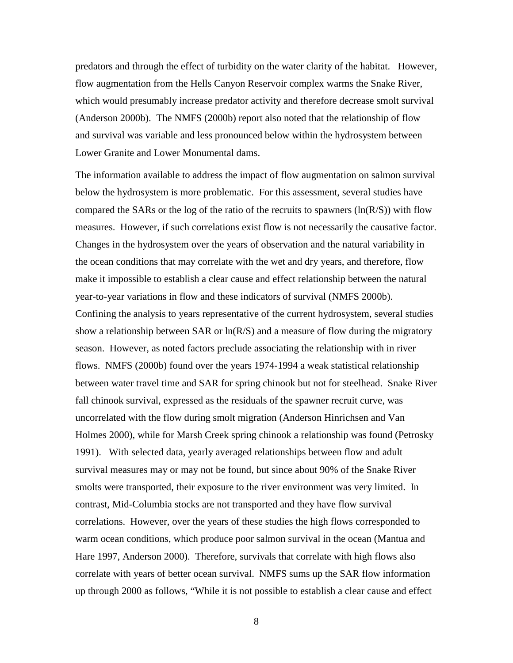predators and through the effect of turbidity on the water clarity of the habitat. However, flow augmentation from the Hells Canyon Reservoir complex warms the Snake River, which would presumably increase predator activity and therefore decrease smolt survival (Anderson 2000b). The NMFS (2000b) report also noted that the relationship of flow and survival was variable and less pronounced below within the hydrosystem between Lower Granite and Lower Monumental dams.

The information available to address the impact of flow augmentation on salmon survival below the hydrosystem is more problematic. For this assessment, several studies have compared the SARs or the log of the ratio of the recruits to spawners  $(ln(R/S))$  with flow measures. However, if such correlations exist flow is not necessarily the causative factor. Changes in the hydrosystem over the years of observation and the natural variability in the ocean conditions that may correlate with the wet and dry years, and therefore, flow make it impossible to establish a clear cause and effect relationship between the natural year-to-year variations in flow and these indicators of survival (NMFS 2000b).

Confining the analysis to years representative of the current hydrosystem, several studies show a relationship between SAR or  $ln(R/S)$  and a measure of flow during the migratory season. However, as noted factors preclude associating the relationship with in river flows. NMFS (2000b) found over the years 1974-1994 a weak statistical relationship between water travel time and SAR for spring chinook but not for steelhead. Snake River fall chinook survival, expressed as the residuals of the spawner recruit curve, was uncorrelated with the flow during smolt migration (Anderson Hinrichsen and Van Holmes 2000), while for Marsh Creek spring chinook a relationship was found (Petrosky 1991). With selected data, yearly averaged relationships between flow and adult survival measures may or may not be found, but since about 90% of the Snake River smolts were transported, their exposure to the river environment was very limited. In contrast, Mid-Columbia stocks are not transported and they have flow survival correlations. However, over the years of these studies the high flows corresponded to warm ocean conditions, which produce poor salmon survival in the ocean (Mantua and Hare 1997, Anderson 2000). Therefore, survivals that correlate with high flows also correlate with years of better ocean survival. NMFS sums up the SAR flow information up through 2000 as follows, "While it is not possible to establish a clear cause and effect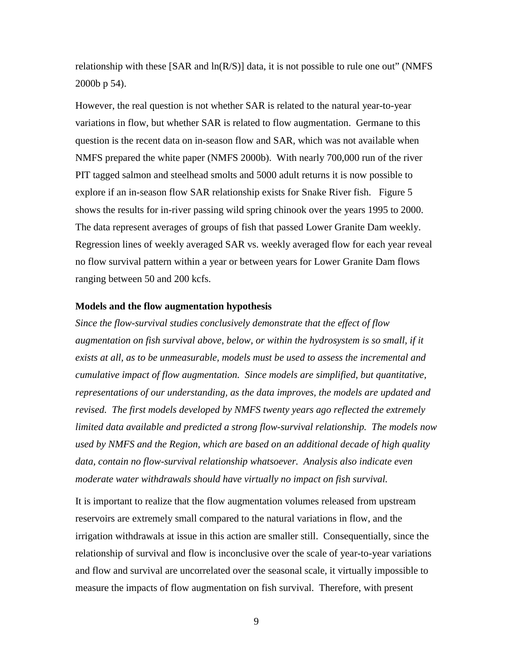relationship with these [SAR and ln(R/S)] data, it is not possible to rule one out" (NMFS 2000b p 54).

However, the real question is not whether SAR is related to the natural year-to-year variations in flow, but whether SAR is related to flow augmentation. Germane to this question is the recent data on in-season flow and SAR, which was not available when NMFS prepared the white paper (NMFS 2000b). With nearly 700,000 run of the river PIT tagged salmon and steelhead smolts and 5000 adult returns it is now possible to explore if an in-season flow SAR relationship exists for Snake River fish. Figure 5 shows the results for in-river passing wild spring chinook over the years 1995 to 2000. The data represent averages of groups of fish that passed Lower Granite Dam weekly. Regression lines of weekly averaged SAR vs. weekly averaged flow for each year reveal no flow survival pattern within a year or between years for Lower Granite Dam flows ranging between 50 and 200 kcfs.

## **Models and the flow augmentation hypothesis**

*Since the flow-survival studies conclusively demonstrate that the effect of flow*  augmentation on fish survival above, below, or within the hydrosystem is so small, if it *exists at all, as to be unmeasurable, models must be used to assess the incremental and cumulative impact of flow augmentation. Since models are simplified, but quantitative, representations of our understanding, as the data improves, the models are updated and revised. The first models developed by NMFS twenty years ago reflected the extremely limited data available and predicted a strong flow-survival relationship. The models now used by NMFS and the Region, which are based on an additional decade of high quality data, contain no flow-survival relationship whatsoever. Analysis also indicate even moderate water withdrawals should have virtually no impact on fish survival.* 

It is important to realize that the flow augmentation volumes released from upstream reservoirs are extremely small compared to the natural variations in flow, and the irrigation withdrawals at issue in this action are smaller still. Consequentially, since the relationship of survival and flow is inconclusive over the scale of year-to-year variations and flow and survival are uncorrelated over the seasonal scale, it virtually impossible to measure the impacts of flow augmentation on fish survival. Therefore, with present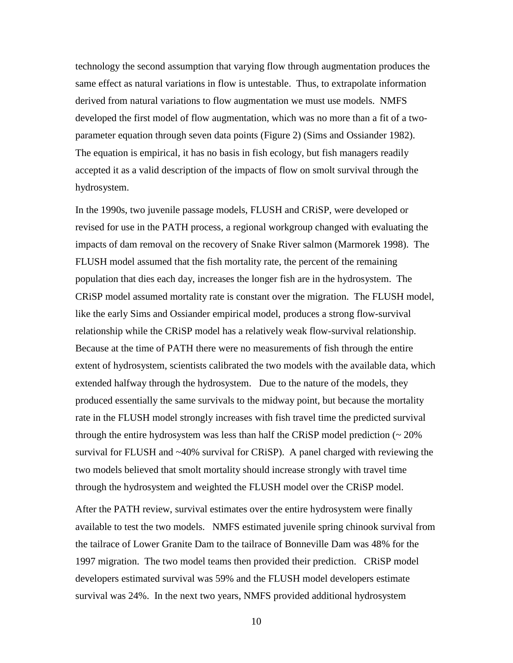technology the second assumption that varying flow through augmentation produces the same effect as natural variations in flow is untestable. Thus, to extrapolate information derived from natural variations to flow augmentation we must use models. NMFS developed the first model of flow augmentation, which was no more than a fit of a twoparameter equation through seven data points (Figure 2) (Sims and Ossiander 1982). The equation is empirical, it has no basis in fish ecology, but fish managers readily accepted it as a valid description of the impacts of flow on smolt survival through the hydrosystem.

In the 1990s, two juvenile passage models, FLUSH and CRiSP, were developed or revised for use in the PATH process, a regional workgroup changed with evaluating the impacts of dam removal on the recovery of Snake River salmon (Marmorek 1998). The FLUSH model assumed that the fish mortality rate, the percent of the remaining population that dies each day, increases the longer fish are in the hydrosystem. The CRiSP model assumed mortality rate is constant over the migration. The FLUSH model, like the early Sims and Ossiander empirical model, produces a strong flow-survival relationship while the CRiSP model has a relatively weak flow-survival relationship. Because at the time of PATH there were no measurements of fish through the entire extent of hydrosystem, scientists calibrated the two models with the available data, which extended halfway through the hydrosystem. Due to the nature of the models, they produced essentially the same survivals to the midway point, but because the mortality rate in the FLUSH model strongly increases with fish travel time the predicted survival through the entire hydrosystem was less than half the CRiSP model prediction  $\sim 20\%$ survival for FLUSH and ~40% survival for CRiSP). A panel charged with reviewing the two models believed that smolt mortality should increase strongly with travel time through the hydrosystem and weighted the FLUSH model over the CRiSP model.

After the PATH review, survival estimates over the entire hydrosystem were finally available to test the two models. NMFS estimated juvenile spring chinook survival from the tailrace of Lower Granite Dam to the tailrace of Bonneville Dam was 48% for the 1997 migration. The two model teams then provided their prediction. CRiSP model developers estimated survival was 59% and the FLUSH model developers estimate survival was 24%. In the next two years, NMFS provided additional hydrosystem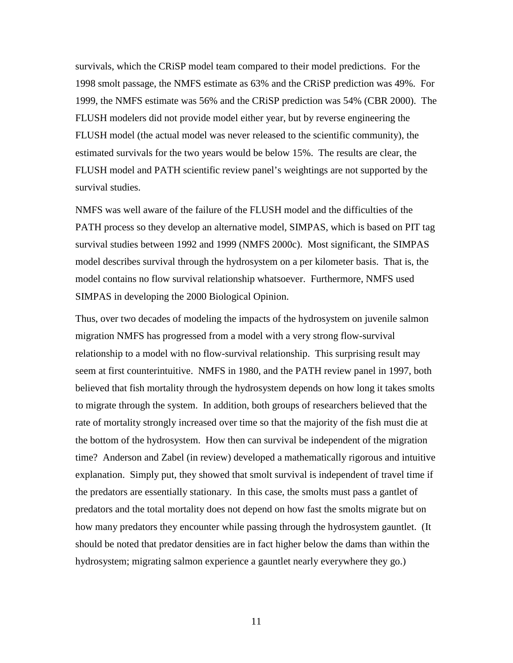survivals, which the CRiSP model team compared to their model predictions. For the 1998 smolt passage, the NMFS estimate as 63% and the CRiSP prediction was 49%. For 1999, the NMFS estimate was 56% and the CRiSP prediction was 54% (CBR 2000). The FLUSH modelers did not provide model either year, but by reverse engineering the FLUSH model (the actual model was never released to the scientific community), the estimated survivals for the two years would be below 15%. The results are clear, the FLUSH model and PATH scientific review panel's weightings are not supported by the survival studies.

NMFS was well aware of the failure of the FLUSH model and the difficulties of the PATH process so they develop an alternative model, SIMPAS, which is based on PIT tag survival studies between 1992 and 1999 (NMFS 2000c). Most significant, the SIMPAS model describes survival through the hydrosystem on a per kilometer basis. That is, the model contains no flow survival relationship whatsoever. Furthermore, NMFS used SIMPAS in developing the 2000 Biological Opinion.

Thus, over two decades of modeling the impacts of the hydrosystem on juvenile salmon migration NMFS has progressed from a model with a very strong flow-survival relationship to a model with no flow-survival relationship. This surprising result may seem at first counterintuitive. NMFS in 1980, and the PATH review panel in 1997, both believed that fish mortality through the hydrosystem depends on how long it takes smolts to migrate through the system. In addition, both groups of researchers believed that the rate of mortality strongly increased over time so that the majority of the fish must die at the bottom of the hydrosystem. How then can survival be independent of the migration time? Anderson and Zabel (in review) developed a mathematically rigorous and intuitive explanation. Simply put, they showed that smolt survival is independent of travel time if the predators are essentially stationary. In this case, the smolts must pass a gantlet of predators and the total mortality does not depend on how fast the smolts migrate but on how many predators they encounter while passing through the hydrosystem gauntlet. (It should be noted that predator densities are in fact higher below the dams than within the hydrosystem; migrating salmon experience a gauntlet nearly everywhere they go.)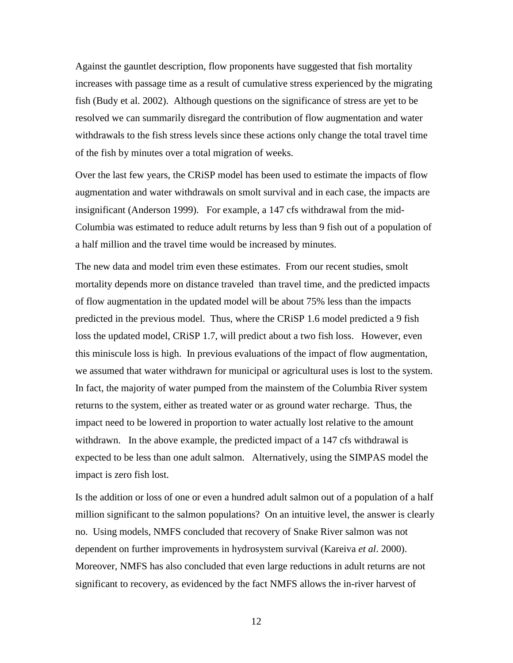Against the gauntlet description, flow proponents have suggested that fish mortality increases with passage time as a result of cumulative stress experienced by the migrating fish (Budy et al. 2002). Although questions on the significance of stress are yet to be resolved we can summarily disregard the contribution of flow augmentation and water withdrawals to the fish stress levels since these actions only change the total travel time of the fish by minutes over a total migration of weeks.

Over the last few years, the CRiSP model has been used to estimate the impacts of flow augmentation and water withdrawals on smolt survival and in each case, the impacts are insignificant (Anderson 1999). For example, a 147 cfs withdrawal from the mid-Columbia was estimated to reduce adult returns by less than 9 fish out of a population of a half million and the travel time would be increased by minutes.

The new data and model trim even these estimates. From our recent studies, smolt mortality depends more on distance traveled than travel time, and the predicted impacts of flow augmentation in the updated model will be about 75% less than the impacts predicted in the previous model. Thus, where the CRiSP 1.6 model predicted a 9 fish loss the updated model, CRiSP 1.7, will predict about a two fish loss. However, even this miniscule loss is high. In previous evaluations of the impact of flow augmentation, we assumed that water withdrawn for municipal or agricultural uses is lost to the system. In fact, the majority of water pumped from the mainstem of the Columbia River system returns to the system, either as treated water or as ground water recharge. Thus, the impact need to be lowered in proportion to water actually lost relative to the amount withdrawn. In the above example, the predicted impact of a 147 cfs withdrawal is expected to be less than one adult salmon. Alternatively, using the SIMPAS model the impact is zero fish lost.

Is the addition or loss of one or even a hundred adult salmon out of a population of a half million significant to the salmon populations? On an intuitive level, the answer is clearly no. Using models, NMFS concluded that recovery of Snake River salmon was not dependent on further improvements in hydrosystem survival (Kareiva *et al*. 2000). Moreover, NMFS has also concluded that even large reductions in adult returns are not significant to recovery, as evidenced by the fact NMFS allows the in-river harvest of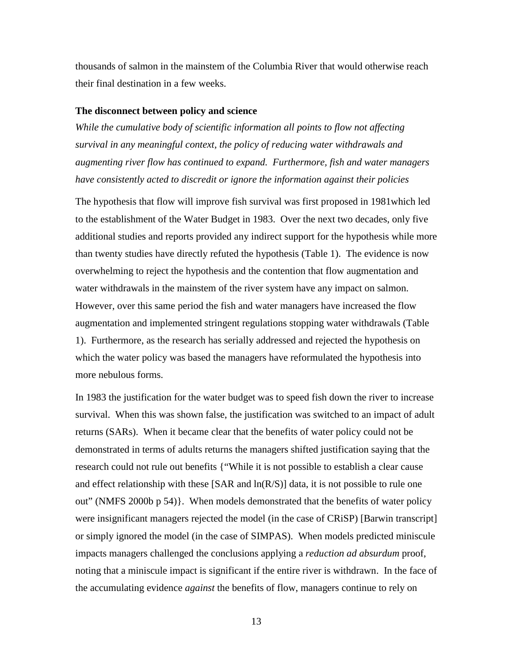thousands of salmon in the mainstem of the Columbia River that would otherwise reach their final destination in a few weeks.

### **The disconnect between policy and science**

*While the cumulative body of scientific information all points to flow not affecting survival in any meaningful context, the policy of reducing water withdrawals and augmenting river flow has continued to expand. Furthermore, fish and water managers have consistently acted to discredit or ignore the information against their policies* 

The hypothesis that flow will improve fish survival was first proposed in 1981which led to the establishment of the Water Budget in 1983. Over the next two decades, only five additional studies and reports provided any indirect support for the hypothesis while more than twenty studies have directly refuted the hypothesis (Table 1). The evidence is now overwhelming to reject the hypothesis and the contention that flow augmentation and water withdrawals in the mainstem of the river system have any impact on salmon. However, over this same period the fish and water managers have increased the flow augmentation and implemented stringent regulations stopping water withdrawals (Table 1). Furthermore, as the research has serially addressed and rejected the hypothesis on which the water policy was based the managers have reformulated the hypothesis into more nebulous forms.

In 1983 the justification for the water budget was to speed fish down the river to increase survival. When this was shown false, the justification was switched to an impact of adult returns (SARs). When it became clear that the benefits of water policy could not be demonstrated in terms of adults returns the managers shifted justification saying that the research could not rule out benefits {"While it is not possible to establish a clear cause and effect relationship with these [SAR and  $ln(R/S)$ ] data, it is not possible to rule one out" (NMFS 2000b p 54)}. When models demonstrated that the benefits of water policy were insignificant managers rejected the model (in the case of CRiSP) [Barwin transcript] or simply ignored the model (in the case of SIMPAS). When models predicted miniscule impacts managers challenged the conclusions applying a *reduction ad absurdum* proof, noting that a miniscule impact is significant if the entire river is withdrawn. In the face of the accumulating evidence *against* the benefits of flow, managers continue to rely on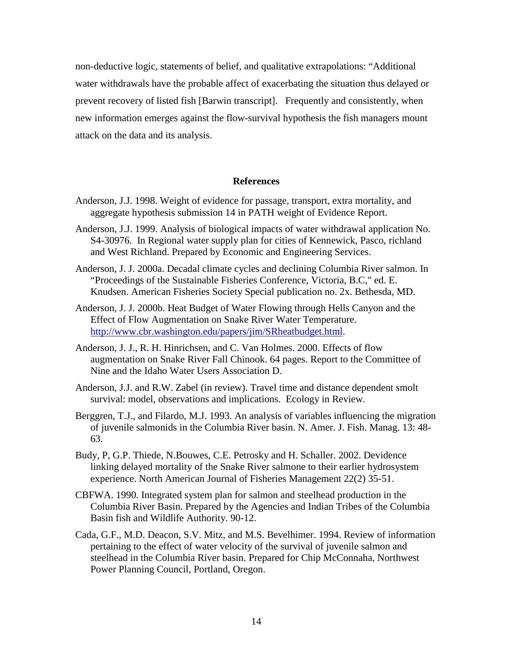non-deductive logic, statements of belief, and qualitative extrapolations: "Additional water withdrawals have the probable affect of exacerbating the situation thus delayed or prevent recovery of listed fish [Barwin transcript]. Frequently and consistently, when new information emerges against the flow-survival hypothesis the fish managers mount attack on the data and its analysis.

# **References**

- Anderson, J.J. 1998. Weight of evidence for passage, transport, extra mortality, and aggregate hypothesis submission 14 in PATH weight of Evidence Report.
- Anderson, J.J. 1999. Analysis of biological impacts of water withdrawal application No. S4-30976. In Regional water supply plan for cities of Kennewick, Pasco, richland and West Richland. Prepared by Economic and Engineering Services.
- Anderson, J. J. 2000a. Decadal climate cycles and declining Columbia River salmon. In "Proceedings of the Sustainable Fisheries Conference, Victoria, B.C," ed. E. Knudsen. American Fisheries Society Special publication no. 2x. Bethesda, MD.
- Anderson, J. J. 2000b. Heat Budget of Water Flowing through Hells Canyon and the Effect of Flow Augmentation on Snake River Water Temperature. http://www.cbr.washington.edu/papers/jim/SRheatbudget.html.
- Anderson, J. J., R. H. Hinrichsen, and C. Van Holmes. 2000. Effects of flow augmentation on Snake River Fall Chinook. 64 pages. Report to the Committee of Nine and the Idaho Water Users Association D.
- Anderson, J.J. and R.W. Zabel (in review). Travel time and distance dependent smolt survival: model, observations and implications. Ecology in Review.
- Berggren, T.J., and Filardo, M.J. 1993. An analysis of variables influencing the migration of juvenile salmonids in the Columbia River basin. N. Amer. J. Fish. Manag. 13: 48- 63.
- Budy, P, G.P. Thiede, N.Bouwes, C.E. Petrosky and H. Schaller. 2002. Devidence linking delayed mortality of the Snake River salmone to their earlier hydrosystem experience. North American Journal of Fisheries Management 22(2) 35-51.
- CBFWA. 1990. Integrated system plan for salmon and steelhead production in the Columbia River Basin. Prepared by the Agencies and Indian Tribes of the Columbia Basin fish and Wildlife Authority. 90-12.
- Cada, G.F., M.D. Deacon, S.V. Mitz, and M.S. Bevelhimer. 1994. Review of information pertaining to the effect of water velocity of the survival of juvenile salmon and steelhead in the Columbia River basin. Prepared for Chip McConnaha, Northwest Power Planning Council, Portland, Oregon.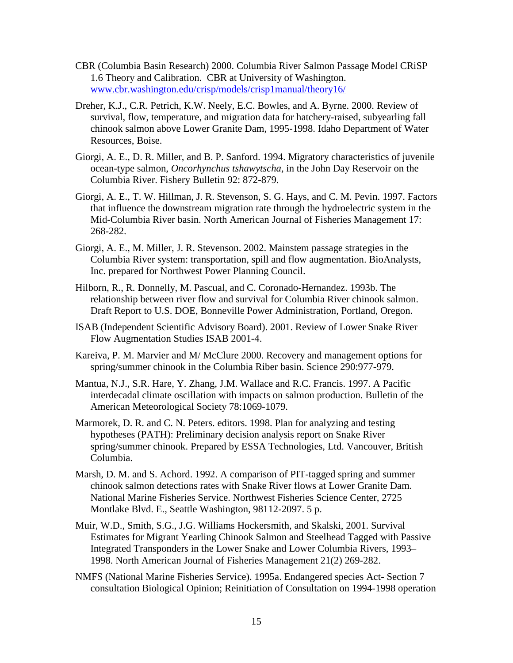- CBR (Columbia Basin Research) 2000. Columbia River Salmon Passage Model CRiSP 1.6 Theory and Calibration. CBR at University of Washington. www.cbr.washington.edu/crisp/models/crisp1manual/theory16/
- Dreher, K.J., C.R. Petrich, K.W. Neely, E.C. Bowles, and A. Byrne. 2000. Review of survival, flow, temperature, and migration data for hatchery-raised, subyearling fall chinook salmon above Lower Granite Dam, 1995-1998. Idaho Department of Water Resources, Boise.
- Giorgi, A. E., D. R. Miller, and B. P. Sanford. 1994. Migratory characteristics of juvenile ocean-type salmon, *Oncorhynchus tshawytscha,* in the John Day Reservoir on the Columbia River. Fishery Bulletin 92: 872-879.
- Giorgi, A. E., T. W. Hillman, J. R. Stevenson, S. G. Hays, and C. M. Pevin. 1997. Factors that influence the downstream migration rate through the hydroelectric system in the Mid-Columbia River basin. North American Journal of Fisheries Management 17: 268-282.
- Giorgi, A. E., M. Miller, J. R. Stevenson. 2002. Mainstem passage strategies in the Columbia River system: transportation, spill and flow augmentation. BioAnalysts, Inc. prepared for Northwest Power Planning Council.
- Hilborn, R., R. Donnelly, M. Pascual, and C. Coronado-Hernandez. 1993b. The relationship between river flow and survival for Columbia River chinook salmon. Draft Report to U.S. DOE, Bonneville Power Administration, Portland, Oregon.
- ISAB (Independent Scientific Advisory Board). 2001. Review of Lower Snake River Flow Augmentation Studies ISAB 2001-4.
- Kareiva, P. M. Marvier and M/ McClure 2000. Recovery and management options for spring/summer chinook in the Columbia Riber basin. Science 290:977-979.
- Mantua, N.J., S.R. Hare, Y. Zhang, J.M. Wallace and R.C. Francis. 1997. A Pacific interdecadal climate oscillation with impacts on salmon production. Bulletin of the American Meteorological Society 78:1069-1079.
- Marmorek, D. R. and C. N. Peters. editors. 1998. Plan for analyzing and testing hypotheses (PATH): Preliminary decision analysis report on Snake River spring/summer chinook. Prepared by ESSA Technologies, Ltd. Vancouver, British Columbia.
- Marsh, D. M. and S. Achord. 1992. A comparison of PIT-tagged spring and summer chinook salmon detections rates with Snake River flows at Lower Granite Dam. National Marine Fisheries Service. Northwest Fisheries Science Center, 2725 Montlake Blvd. E., Seattle Washington, 98112-2097. 5 p.
- Muir, W.D., Smith, S.G., J.G. Williams Hockersmith, and Skalski, 2001. Survival Estimates for Migrant Yearling Chinook Salmon and Steelhead Tagged with Passive Integrated Transponders in the Lower Snake and Lower Columbia Rivers, 1993– 1998. North American Journal of Fisheries Management 21(2) 269-282.
- NMFS (National Marine Fisheries Service). 1995a. Endangered species Act- Section 7 consultation Biological Opinion; Reinitiation of Consultation on 1994-1998 operation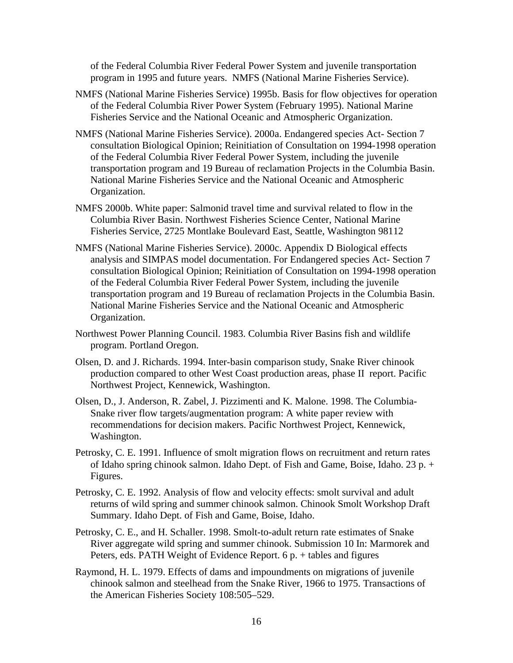of the Federal Columbia River Federal Power System and juvenile transportation program in 1995 and future years. NMFS (National Marine Fisheries Service).

- NMFS (National Marine Fisheries Service) 1995b. Basis for flow objectives for operation of the Federal Columbia River Power System (February 1995). National Marine Fisheries Service and the National Oceanic and Atmospheric Organization.
- NMFS (National Marine Fisheries Service). 2000a. Endangered species Act- Section 7 consultation Biological Opinion; Reinitiation of Consultation on 1994-1998 operation of the Federal Columbia River Federal Power System, including the juvenile transportation program and 19 Bureau of reclamation Projects in the Columbia Basin. National Marine Fisheries Service and the National Oceanic and Atmospheric Organization.
- NMFS 2000b. White paper: Salmonid travel time and survival related to flow in the Columbia River Basin. Northwest Fisheries Science Center, National Marine Fisheries Service, 2725 Montlake Boulevard East, Seattle, Washington 98112
- NMFS (National Marine Fisheries Service). 2000c. Appendix D Biological effects analysis and SIMPAS model documentation. For Endangered species Act- Section 7 consultation Biological Opinion; Reinitiation of Consultation on 1994-1998 operation of the Federal Columbia River Federal Power System, including the juvenile transportation program and 19 Bureau of reclamation Projects in the Columbia Basin. National Marine Fisheries Service and the National Oceanic and Atmospheric Organization.
- Northwest Power Planning Council. 1983. Columbia River Basins fish and wildlife program. Portland Oregon.
- Olsen, D. and J. Richards. 1994. Inter-basin comparison study, Snake River chinook production compared to other West Coast production areas, phase II report. Pacific Northwest Project, Kennewick, Washington.
- Olsen, D., J. Anderson, R. Zabel, J. Pizzimenti and K. Malone. 1998. The Columbia-Snake river flow targets/augmentation program: A white paper review with recommendations for decision makers. Pacific Northwest Project, Kennewick, Washington.
- Petrosky, C. E. 1991. Influence of smolt migration flows on recruitment and return rates of Idaho spring chinook salmon. Idaho Dept. of Fish and Game, Boise, Idaho. 23 p. + Figures.
- Petrosky, C. E. 1992. Analysis of flow and velocity effects: smolt survival and adult returns of wild spring and summer chinook salmon. Chinook Smolt Workshop Draft Summary. Idaho Dept. of Fish and Game, Boise, Idaho.
- Petrosky, C. E., and H. Schaller. 1998. Smolt-to-adult return rate estimates of Snake River aggregate wild spring and summer chinook. Submission 10 In: Marmorek and Peters, eds. PATH Weight of Evidence Report. 6 p. + tables and figures
- Raymond, H. L. 1979. Effects of dams and impoundments on migrations of juvenile chinook salmon and steelhead from the Snake River, 1966 to 1975. Transactions of the American Fisheries Society 108:505–529.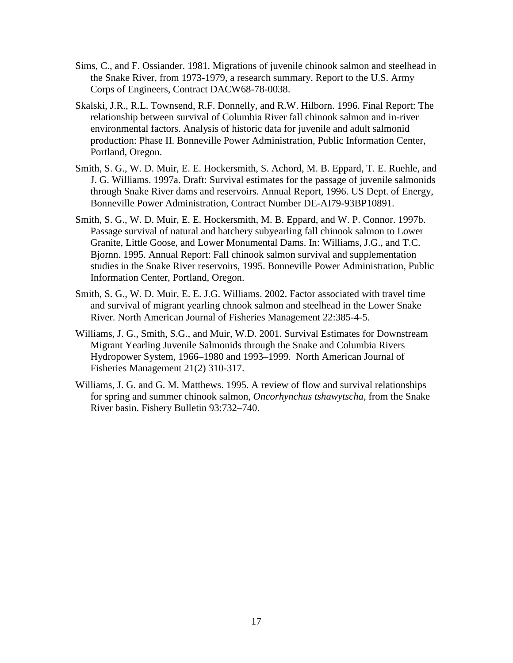- Sims, C., and F. Ossiander. 1981. Migrations of juvenile chinook salmon and steelhead in the Snake River, from 1973-1979, a research summary. Report to the U.S. Army Corps of Engineers, Contract DACW68-78-0038.
- Skalski, J.R., R.L. Townsend, R.F. Donnelly, and R.W. Hilborn. 1996. Final Report: The relationship between survival of Columbia River fall chinook salmon and in-river environmental factors. Analysis of historic data for juvenile and adult salmonid production: Phase II. Bonneville Power Administration, Public Information Center, Portland, Oregon.
- Smith, S. G., W. D. Muir, E. E. Hockersmith, S. Achord, M. B. Eppard, T. E. Ruehle, and J. G. Williams. 1997a. Draft: Survival estimates for the passage of juvenile salmonids through Snake River dams and reservoirs. Annual Report, 1996. US Dept. of Energy, Bonneville Power Administration, Contract Number DE-AI79-93BP10891.
- Smith, S. G., W. D. Muir, E. E. Hockersmith, M. B. Eppard, and W. P. Connor. 1997b. Passage survival of natural and hatchery subyearling fall chinook salmon to Lower Granite, Little Goose, and Lower Monumental Dams. In: Williams, J.G., and T.C. Bjornn. 1995. Annual Report: Fall chinook salmon survival and supplementation studies in the Snake River reservoirs, 1995. Bonneville Power Administration, Public Information Center, Portland, Oregon.
- Smith, S. G., W. D. Muir, E. E. J.G. Williams. 2002. Factor associated with travel time and survival of migrant yearling chnook salmon and steelhead in the Lower Snake River. North American Journal of Fisheries Management 22:385-4-5.
- Williams, J. G., Smith, S.G., and Muir, W.D. 2001. Survival Estimates for Downstream Migrant Yearling Juvenile Salmonids through the Snake and Columbia Rivers Hydropower System, 1966–1980 and 1993–1999. North American Journal of Fisheries Management 21(2) 310-317.
- Williams, J. G. and G. M. Matthews. 1995. A review of flow and survival relationships for spring and summer chinook salmon, *Oncorhynchus tshawytscha,* from the Snake River basin. Fishery Bulletin 93:732–740.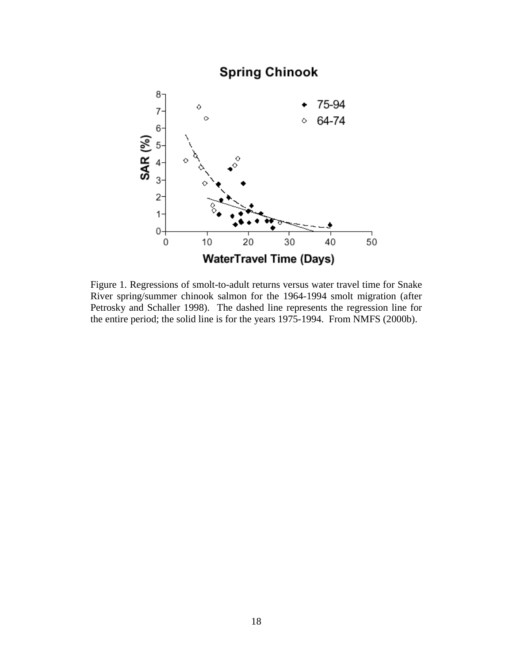

Figure 1. Regressions of smolt-to-adult returns versus water travel time for Snake River spring/summer chinook salmon for the 1964-1994 smolt migration (after Petrosky and Schaller 1998). The dashed line represents the regression line for the entire period; the solid line is for the years 1975-1994. From NMFS (2000b).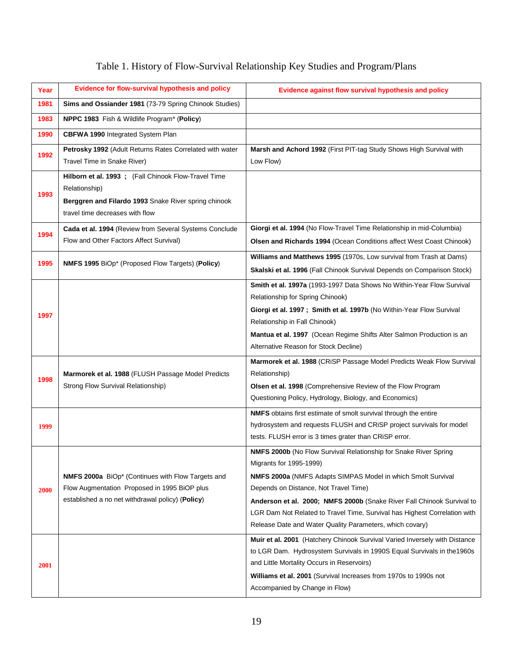# Table 1. History of Flow-Survival Relationship Key Studies and Program/Plans

| Year | Evidence for flow-survival hypothesis and policy                                                                                                                 | Evidence against flow survival hypothesis and policy                                                                                                                                                                                                                                                                                                                                                                    |
|------|------------------------------------------------------------------------------------------------------------------------------------------------------------------|-------------------------------------------------------------------------------------------------------------------------------------------------------------------------------------------------------------------------------------------------------------------------------------------------------------------------------------------------------------------------------------------------------------------------|
| 1981 | Sims and Ossiander 1981 (73-79 Spring Chinook Studies)                                                                                                           |                                                                                                                                                                                                                                                                                                                                                                                                                         |
| 1983 | NPPC 1983 Fish & Wildlife Program* (Policy)                                                                                                                      |                                                                                                                                                                                                                                                                                                                                                                                                                         |
| 1990 | <b>CBFWA 1990</b> Integrated System Plan                                                                                                                         |                                                                                                                                                                                                                                                                                                                                                                                                                         |
| 1992 | Petrosky 1992 (Adult Returns Rates Correlated with water<br>Travel Time in Snake River)                                                                          | Marsh and Achord 1992 (First PIT-tag Study Shows High Survival with<br>Low Flow)                                                                                                                                                                                                                                                                                                                                        |
| 1993 | Hilborn et al. 1993 ; (Fall Chinook Flow-Travel Time<br>Relationship)<br>Berggren and Filardo 1993 Snake River spring chinook<br>travel time decreases with flow |                                                                                                                                                                                                                                                                                                                                                                                                                         |
| 1994 | Cada et al. 1994 (Review from Several Systems Conclude<br>Flow and Other Factors Affect Survival)                                                                | Giorgi et al. 1994 (No Flow-Travel Time Relationship in mid-Columbia)<br>Olsen and Richards 1994 (Ocean Conditions affect West Coast Chinook)                                                                                                                                                                                                                                                                           |
| 1995 | NMFS 1995 BiOp* (Proposed Flow Targets) (Policy)                                                                                                                 | Williams and Matthews 1995 (1970s, Low survival from Trash at Dams)<br>Skalski et al. 1996 (Fall Chinook Survival Depends on Comparison Stock)                                                                                                                                                                                                                                                                          |
| 1997 |                                                                                                                                                                  | Smith et al. 1997a (1993-1997 Data Shows No Within-Year Flow Survival<br>Relationship for Spring Chinook)<br>Giorgi et al. 1997; Smith et al. 1997b (No Within-Year Flow Survival<br>Relationship in Fall Chinook)<br>Mantua et al. 1997 (Ocean Regime Shifts Alter Salmon Production is an<br>Alternative Reason for Stock Decline)                                                                                    |
| 1998 | Marmorek et al. 1988 (FLUSH Passage Model Predicts<br>Strong Flow Survival Relationship)                                                                         | Marmorek et al. 1988 (CRiSP Passage Model Predicts Weak Flow Survival<br>Relationship)<br>Olsen et al. 1998 (Comprehensive Review of the Flow Program<br>Questioning Policy, Hydrology, Biology, and Economics)                                                                                                                                                                                                         |
| 1999 |                                                                                                                                                                  | <b>NMFS</b> obtains first estimate of smolt survival through the entire<br>hydrosystem and requests FLUSH and CRiSP project survivals for model<br>tests. FLUSH error is 3 times grater than CRiSP error.                                                                                                                                                                                                               |
| 2000 | <b>NMFS 2000a</b> BiOp* (Continues with Flow Targets and<br>Flow Augmentation Proposed in 1995 BiOP plus<br>established a no net withdrawal policy) (Policy)     | NMFS 2000b (No Flow Survival Relationship for Snake River Spring<br>Migrants for 1995-1999)<br>NMFS 2000a (NMFS Adapts SIMPAS Model in which Smolt Survival<br>Depends on Distance, Not Travel Time)<br>Anderson et al. 2000; NMFS 2000b (Snake River Fall Chinook Survival to<br>LGR Dam Not Related to Travel Time, Survival has Highest Correlation with<br>Release Date and Water Quality Parameters, which covary) |
| 2001 |                                                                                                                                                                  | Muir et al. 2001 (Hatchery Chinook Survival Varied Inversely with Distance<br>to LGR Dam. Hydrosystem Survivals in 1990S Equal Survivals in the 1960s<br>and Little Mortality Occurs in Reservoirs)<br>Williams et al. 2001 (Survival Increases from 1970s to 1990s not<br>Accompanied by Change in Flow)                                                                                                               |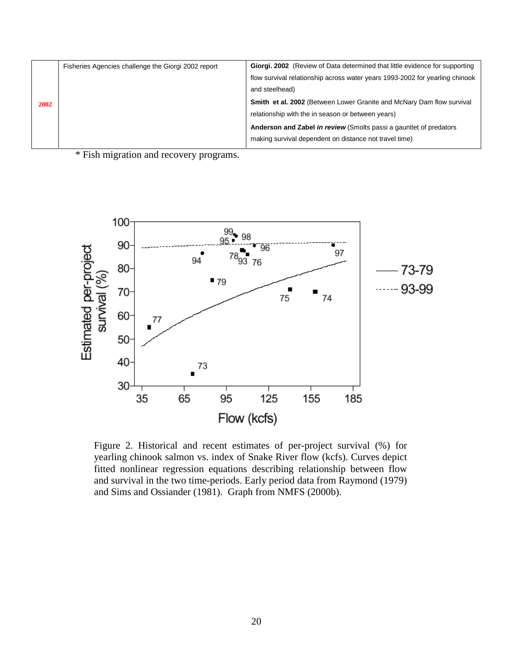| Fisheries Agencies challenge the Giorgi 2002 report | Giorgi. 2002 (Review of Data determined that little evidence for supporting  |
|-----------------------------------------------------|------------------------------------------------------------------------------|
|                                                     | flow survival relationship across water years 1993-2002 for yearling chinook |
|                                                     | and steelhead)                                                               |
|                                                     | Smith et al. 2002 (Between Lower Granite and McNary Dam flow survival        |
|                                                     | relationship with the in season or between years)                            |
|                                                     | Anderson and Zabel in review (Smolts passi a gauntlet of predators           |
|                                                     | making survival dependent on distance not travel time)                       |
|                                                     |                                                                              |

\* Fish migration and recovery programs.



Figure 2. Historical and recent estimates of per-project survival (%) for yearling chinook salmon vs. index of Snake River flow (kcfs). Curves depict fitted nonlinear regression equations describing relationship between flow and survival in the two time-periods. Early period data from Raymond (1979) and Sims and Ossiander (1981). Graph from NMFS (2000b).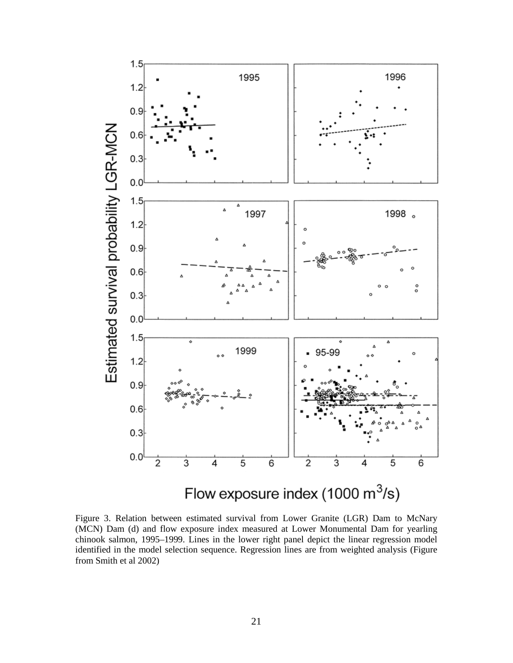

Figure 3. Relation between estimated survival from Lower Granite (LGR) Dam to McNary (MCN) Dam (d) and flow exposure index measured at Lower Monumental Dam for yearling chinook salmon, 1995–1999. Lines in the lower right panel depict the linear regression model identified in the model selection sequence. Regression lines are from weighted analysis (Figure from Smith et al 2002)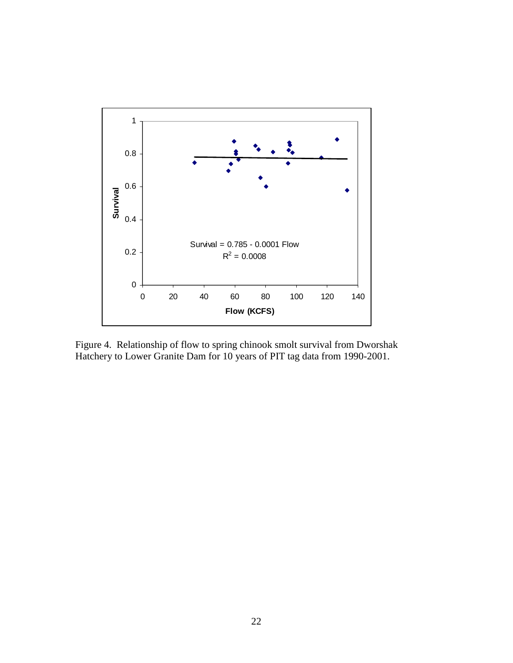

Figure 4. Relationship of flow to spring chinook smolt survival from Dworshak Hatchery to Lower Granite Dam for 10 years of PIT tag data from 1990-2001.